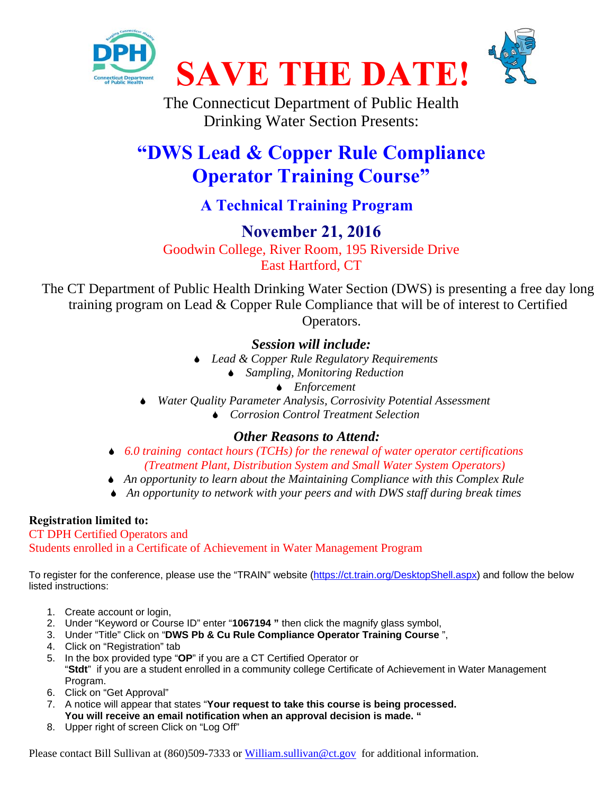

The Connecticut Department of Public Health Drinking Water Section Presents:

# **"DWS Lead & Copper Rule Compliance Operator Training Course"**

## **A Technical Training Program**

## **November 21, 2016**

Goodwin College, River Room, 195 Riverside Drive East Hartford, CT

The CT Department of Public Health Drinking Water Section (DWS) is presenting a free day long training program on Lead & Copper Rule Compliance that will be of interest to Certified Operators.

### *Session will include:*

- *Lead & Copper Rule Regulatory Requirements* 
	- *Sampling, Monitoring Reduction* 
		- *Enforcement*
- *Water Quality Parameter Analysis, Corrosivity Potential Assessment* 
	- *Corrosion Control Treatment Selection*

### *Other Reasons to Attend:*

- *6.0 training contact hours (TCHs) for the renewal of water operator certifications (Treatment Plant, Distribution System and Small Water System Operators)*
- *An opportunity to learn about the Maintaining Compliance with this Complex Rule*
- *An opportunity to network with your peers and with DWS staff during break times*

#### **Registration limited to:**

CT DPH Certified Operators and Students enrolled in a Certificate of Achievement in Water Management Program

To register for the conference, please use the "TRAIN" website (https://ct.train.org/DesktopShell.aspx) and follow the below listed instructions:

- 1. Create account or login,
- 2. Under "Keyword or Course ID" enter "**1067194 "** then click the magnify glass symbol,
- 3. Under "Title" Click on "**DWS Pb & Cu Rule Compliance Operator Training Course** ",
- 4. Click on "Registration" tab
- 5. In the box provided type "**OP**" if you are a CT Certified Operator or "**Stdt**" if you are a student enrolled in a community college Certificate of Achievement in Water Management Program.
- 6. Click on "Get Approval"
- 7. A notice will appear that states "**Your request to take this course is being processed. You will receive an email notification when an approval decision is made. "**
- 8. Upper right of screen Click on "Log Off"

Please contact Bill Sullivan at (860)509-7333 or William.sullivan@ct.gov for additional information.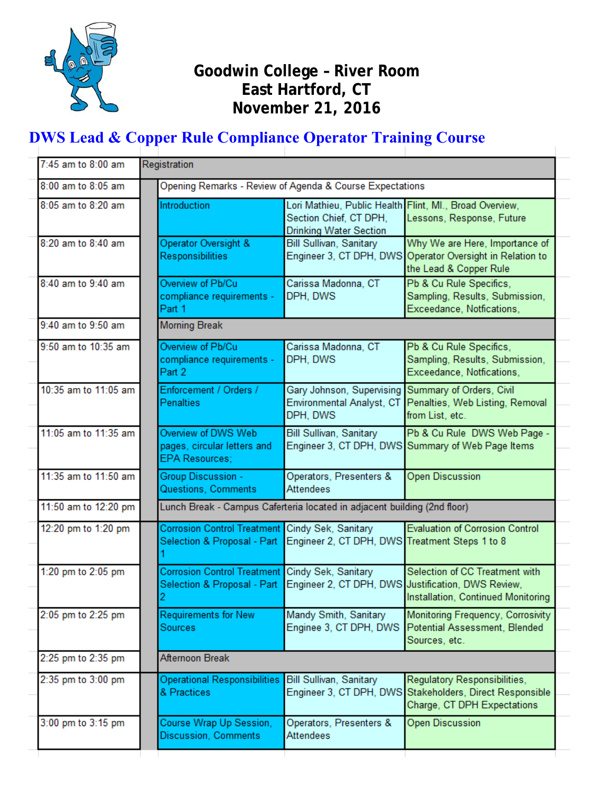

### **Goodwin College – River Room East Hartford, CT November 21, 2016**

## **DWS Lead & Copper Rule Compliance Operator Training Course**

| 7:45 am to 8:00 am   | Registration |                                                                             |                                                                                                                    |                                                                                                                            |  |
|----------------------|--------------|-----------------------------------------------------------------------------|--------------------------------------------------------------------------------------------------------------------|----------------------------------------------------------------------------------------------------------------------------|--|
| 8:00 am to 8:05 am   |              | Opening Remarks - Review of Agenda & Course Expectations                    |                                                                                                                    |                                                                                                                            |  |
| 8:05 am to 8:20 am   |              | Introduction                                                                | Lori Mathieu, Public Health Flint, Ml., Broad Overview,<br>Section Chief, CT DPH,<br><b>Drinking Water Section</b> | Lessons, Response, Future                                                                                                  |  |
| 8:20 am to 8:40 am   |              | Operator Oversight &<br>Responsibilities                                    | Bill Sullivan, Sanitary                                                                                            | Why We are Here, Importance of<br>Engineer 3, CT DPH, DWS Operator Oversight in Relation to<br>the Lead & Copper Rule      |  |
| 8:40 am to 9:40 am   |              | Overview of Pb/Cu<br>compliance requirements -<br>Part 1                    | Carissa Madonna, CT<br>DPH, DWS                                                                                    | Pb & Cu Rule Specifics,<br>Sampling, Results, Submission,<br>Exceedance, Notfications,                                     |  |
| 9:40 am to 9:50 am   |              | <b>Morning Break</b>                                                        |                                                                                                                    |                                                                                                                            |  |
| 9:50 am to 10:35 am  |              | Overview of Pb/Cu<br>compliance requirements -<br>Part 2                    | Carissa Madonna, CT<br>DPH, DWS                                                                                    | Pb & Cu Rule Specifics,<br>Sampling, Results, Submission,<br>Exceedance, Notfications,                                     |  |
| 10:35 am to 11:05 am |              | Enforcement / Orders /<br><b>Penalties</b>                                  | Gary Johnson, Supervising Summary of Orders, Civil<br>Environmental Analyst, CT<br>DPH, DWS                        | Penalties, Web Listing, Removal<br>from List, etc.                                                                         |  |
| 11:05 am to 11:35 am |              | Overview of DWS Web<br>pages, circular letters and<br><b>EPA Resources:</b> | Bill Sullivan, Sanitary                                                                                            | Pb & Cu Rule DWS Web Page -<br>Engineer 3, CT DPH, DWS Summary of Web Page Items                                           |  |
| 11:35 am to 11:50 am |              | Group Discussion -<br>Questions, Comments                                   | Operators, Presenters &<br><b>Attendees</b>                                                                        | <b>Open Discussion</b>                                                                                                     |  |
| 11:50 am to 12:20 pm |              | Lunch Break - Campus Caferteria located in adjacent building (2nd floor)    |                                                                                                                    |                                                                                                                            |  |
| 12:20 pm to 1:20 pm  |              | <b>Corrosion Control Treatment</b><br>Selection & Proposal - Part           | Cindy Sek, Sanitary<br>Engineer 2, CT DPH, DWS Treatment Steps 1 to 8                                              | <b>Evaluation of Corrosion Control</b>                                                                                     |  |
| 1:20 pm to 2:05 pm   |              | <b>Corrosion Control Treatment</b><br>Selection & Proposal - Part           | Cindy Sek, Sanitary                                                                                                | Selection of CC Treatment with<br>Engineer 2, CT DPH, DWS Justification, DWS Review,<br>Installation, Continued Monitoring |  |
| 2:05 pm to 2:25 pm   |              | <b>Requirements for New</b><br><b>Sources</b>                               | Mandy Smith, Sanitary<br>Enginee 3, CT DPH, DWS                                                                    | Monitoring Frequency, Corrosivity<br>Potential Assessment, Blended<br>Sources, etc.                                        |  |
| 2:25 pm to 2:35 pm   |              | Afternoon Break                                                             |                                                                                                                    |                                                                                                                            |  |
| 2:35 pm to 3:00 pm   |              | <b>Operational Responsibilities</b><br>& Practices                          | Bill Sullivan, Sanitary<br>Engineer 3, CT DPH, DWS                                                                 | Regulatory Responsibilities,<br>Stakeholders, Direct Responsible<br>Charge, CT DPH Expectations                            |  |
| 3:00 pm to 3:15 pm   |              | Course Wrap Up Session,<br>Discussion, Comments                             | Operators, Presenters &<br>Attendees                                                                               | Open Discussion                                                                                                            |  |
|                      |              |                                                                             |                                                                                                                    |                                                                                                                            |  |